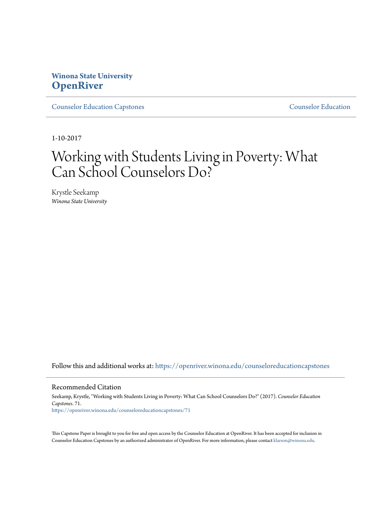### **Winona State University [OpenRiver](https://openriver.winona.edu?utm_source=openriver.winona.edu%2Fcounseloreducationcapstones%2F71&utm_medium=PDF&utm_campaign=PDFCoverPages)**

[Counselor Education Capstones](https://openriver.winona.edu/counseloreducationcapstones?utm_source=openriver.winona.edu%2Fcounseloreducationcapstones%2F71&utm_medium=PDF&utm_campaign=PDFCoverPages) [Counselor Education](https://openriver.winona.edu/counseloreducation?utm_source=openriver.winona.edu%2Fcounseloreducationcapstones%2F71&utm_medium=PDF&utm_campaign=PDFCoverPages)

1-10-2017

# Working with Students Living in Poverty: What Can School Counselors Do?

Krystle Seekamp *Winona State University*

Follow this and additional works at: [https://openriver.winona.edu/counseloreducationcapstones](https://openriver.winona.edu/counseloreducationcapstones?utm_source=openriver.winona.edu%2Fcounseloreducationcapstones%2F71&utm_medium=PDF&utm_campaign=PDFCoverPages)

#### Recommended Citation

Seekamp, Krystle, "Working with Students Living in Poverty: What Can School Counselors Do?" (2017). *Counselor Education Capstones*. 71. [https://openriver.winona.edu/counseloreducationcapstones/71](https://openriver.winona.edu/counseloreducationcapstones/71?utm_source=openriver.winona.edu%2Fcounseloreducationcapstones%2F71&utm_medium=PDF&utm_campaign=PDFCoverPages)

This Capstone Paper is brought to you for free and open access by the Counselor Education at OpenRiver. It has been accepted for inclusion in Counselor Education Capstones by an authorized administrator of OpenRiver. For more information, please contact [klarson@winona.edu](mailto:klarson@winona.edu).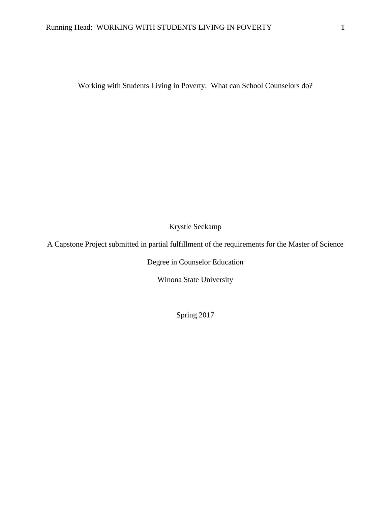Working with Students Living in Poverty: What can School Counselors do?

Krystle Seekamp

A Capstone Project submitted in partial fulfillment of the requirements for the Master of Science

Degree in Counselor Education

Winona State University

Spring 2017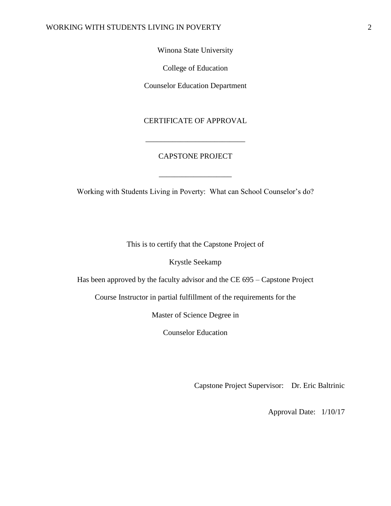#### Winona State University

College of Education

Counselor Education Department

#### CERTIFICATE OF APPROVAL

\_\_\_\_\_\_\_\_\_\_\_\_\_\_\_\_\_\_\_\_\_\_\_\_\_\_

#### CAPSTONE PROJECT

Working with Students Living in Poverty: What can School Counselor's do?

\_\_\_\_\_\_\_\_\_\_\_\_\_\_\_\_\_\_\_

This is to certify that the Capstone Project of

Krystle Seekamp

Has been approved by the faculty advisor and the CE 695 – Capstone Project

Course Instructor in partial fulfillment of the requirements for the

Master of Science Degree in

Counselor Education

Capstone Project Supervisor: Dr. Eric Baltrinic

Approval Date: 1/10/17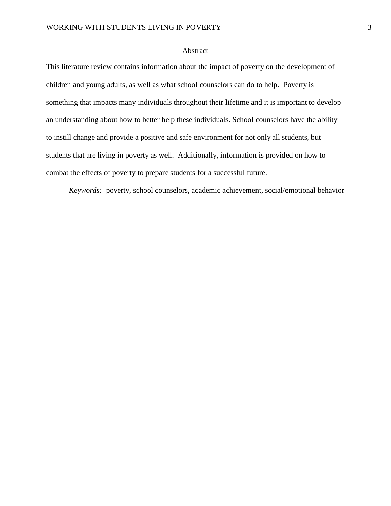#### Abstract

This literature review contains information about the impact of poverty on the development of children and young adults, as well as what school counselors can do to help. Poverty is something that impacts many individuals throughout their lifetime and it is important to develop an understanding about how to better help these individuals. School counselors have the ability to instill change and provide a positive and safe environment for not only all students, but students that are living in poverty as well. Additionally, information is provided on how to combat the effects of poverty to prepare students for a successful future.

*Keywords:* poverty, school counselors, academic achievement, social/emotional behavior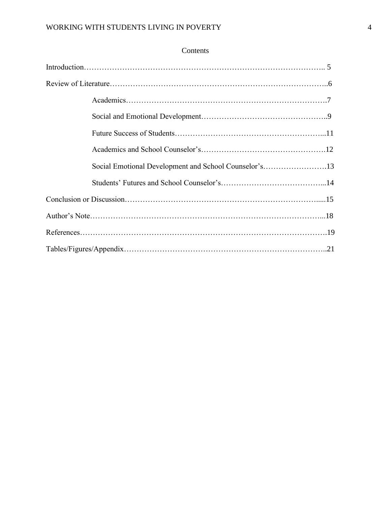| Contents |
|----------|
|----------|

| Social Emotional Development and School Counselor's13 |
|-------------------------------------------------------|
|                                                       |
|                                                       |
|                                                       |
|                                                       |
|                                                       |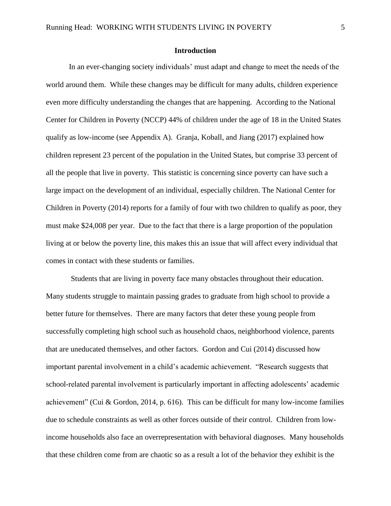#### **Introduction**

In an ever-changing society individuals' must adapt and change to meet the needs of the world around them. While these changes may be difficult for many adults, children experience even more difficulty understanding the changes that are happening. According to the National Center for Children in Poverty (NCCP) 44% of children under the age of 18 in the United States qualify as low-income (see Appendix A). Granja, Koball, and Jiang (2017) explained how children represent 23 percent of the population in the United States, but comprise 33 percent of all the people that live in poverty. This statistic is concerning since poverty can have such a large impact on the development of an individual, especially children. The National Center for Children in Poverty (2014) reports for a family of four with two children to qualify as poor, they must make \$24,008 per year. Due to the fact that there is a large proportion of the population living at or below the poverty line, this makes this an issue that will affect every individual that comes in contact with these students or families.

Students that are living in poverty face many obstacles throughout their education. Many students struggle to maintain passing grades to graduate from high school to provide a better future for themselves. There are many factors that deter these young people from successfully completing high school such as household chaos, neighborhood violence, parents that are uneducated themselves, and other factors. Gordon and Cui (2014) discussed how important parental involvement in a child's academic achievement. "Research suggests that school-related parental involvement is particularly important in affecting adolescents' academic achievement" (Cui & Gordon, 2014, p. 616). This can be difficult for many low-income families due to schedule constraints as well as other forces outside of their control. Children from lowincome households also face an overrepresentation with behavioral diagnoses. Many households that these children come from are chaotic so as a result a lot of the behavior they exhibit is the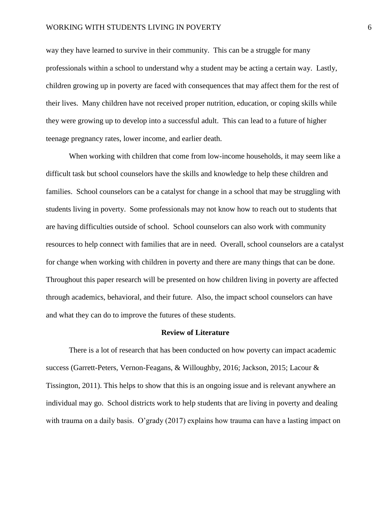way they have learned to survive in their community. This can be a struggle for many professionals within a school to understand why a student may be acting a certain way. Lastly, children growing up in poverty are faced with consequences that may affect them for the rest of their lives. Many children have not received proper nutrition, education, or coping skills while they were growing up to develop into a successful adult. This can lead to a future of higher teenage pregnancy rates, lower income, and earlier death.

When working with children that come from low-income households, it may seem like a difficult task but school counselors have the skills and knowledge to help these children and families. School counselors can be a catalyst for change in a school that may be struggling with students living in poverty. Some professionals may not know how to reach out to students that are having difficulties outside of school. School counselors can also work with community resources to help connect with families that are in need. Overall, school counselors are a catalyst for change when working with children in poverty and there are many things that can be done. Throughout this paper research will be presented on how children living in poverty are affected through academics, behavioral, and their future. Also, the impact school counselors can have and what they can do to improve the futures of these students.

#### **Review of Literature**

There is a lot of research that has been conducted on how poverty can impact academic success (Garrett-Peters, Vernon-Feagans, & Willoughby, 2016; Jackson, 2015; Lacour & Tissington, 2011). This helps to show that this is an ongoing issue and is relevant anywhere an individual may go. School districts work to help students that are living in poverty and dealing with trauma on a daily basis. O'grady (2017) explains how trauma can have a lasting impact on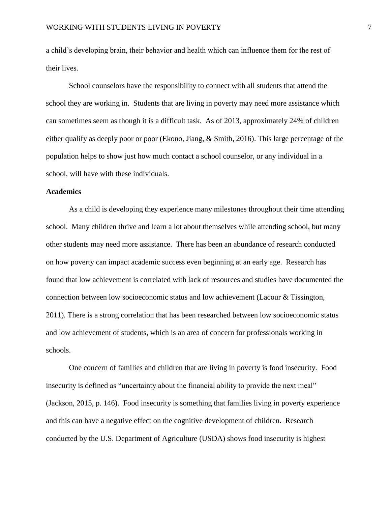a child's developing brain, their behavior and health which can influence them for the rest of their lives.

School counselors have the responsibility to connect with all students that attend the school they are working in. Students that are living in poverty may need more assistance which can sometimes seem as though it is a difficult task. As of 2013, approximately 24% of children either qualify as deeply poor or poor (Ekono, Jiang, & Smith, 2016). This large percentage of the population helps to show just how much contact a school counselor, or any individual in a school, will have with these individuals.

#### **Academics**

As a child is developing they experience many milestones throughout their time attending school. Many children thrive and learn a lot about themselves while attending school, but many other students may need more assistance. There has been an abundance of research conducted on how poverty can impact academic success even beginning at an early age. Research has found that low achievement is correlated with lack of resources and studies have documented the connection between low socioeconomic status and low achievement (Lacour & Tissington, 2011). There is a strong correlation that has been researched between low socioeconomic status and low achievement of students, which is an area of concern for professionals working in schools.

One concern of families and children that are living in poverty is food insecurity. Food insecurity is defined as "uncertainty about the financial ability to provide the next meal" (Jackson, 2015, p. 146). Food insecurity is something that families living in poverty experience and this can have a negative effect on the cognitive development of children. Research conducted by the U.S. Department of Agriculture (USDA) shows food insecurity is highest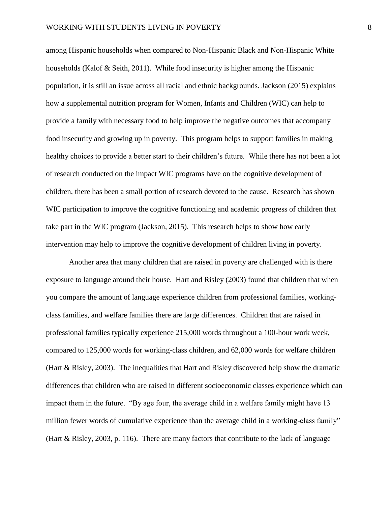among Hispanic households when compared to Non-Hispanic Black and Non-Hispanic White households (Kalof & Seith, 2011). While food insecurity is higher among the Hispanic population, it is still an issue across all racial and ethnic backgrounds. Jackson (2015) explains how a supplemental nutrition program for Women, Infants and Children (WIC) can help to provide a family with necessary food to help improve the negative outcomes that accompany food insecurity and growing up in poverty. This program helps to support families in making healthy choices to provide a better start to their children's future. While there has not been a lot of research conducted on the impact WIC programs have on the cognitive development of children, there has been a small portion of research devoted to the cause. Research has shown WIC participation to improve the cognitive functioning and academic progress of children that take part in the WIC program (Jackson, 2015). This research helps to show how early intervention may help to improve the cognitive development of children living in poverty.

Another area that many children that are raised in poverty are challenged with is there exposure to language around their house. Hart and Risley (2003) found that children that when you compare the amount of language experience children from professional families, workingclass families, and welfare families there are large differences. Children that are raised in professional families typically experience 215,000 words throughout a 100-hour work week, compared to 125,000 words for working-class children, and 62,000 words for welfare children (Hart & Risley, 2003). The inequalities that Hart and Risley discovered help show the dramatic differences that children who are raised in different socioeconomic classes experience which can impact them in the future. "By age four, the average child in a welfare family might have 13 million fewer words of cumulative experience than the average child in a working-class family" (Hart  $\&$  Risley, 2003, p. 116). There are many factors that contribute to the lack of language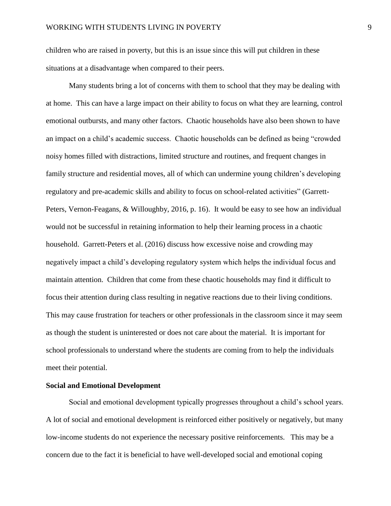children who are raised in poverty, but this is an issue since this will put children in these situations at a disadvantage when compared to their peers.

Many students bring a lot of concerns with them to school that they may be dealing with at home. This can have a large impact on their ability to focus on what they are learning, control emotional outbursts, and many other factors. Chaotic households have also been shown to have an impact on a child's academic success. Chaotic households can be defined as being "crowded noisy homes filled with distractions, limited structure and routines, and frequent changes in family structure and residential moves, all of which can undermine young children's developing regulatory and pre-academic skills and ability to focus on school-related activities" (Garrett-Peters, Vernon-Feagans, & Willoughby, 2016, p. 16). It would be easy to see how an individual would not be successful in retaining information to help their learning process in a chaotic household. Garrett-Peters et al. (2016) discuss how excessive noise and crowding may negatively impact a child's developing regulatory system which helps the individual focus and maintain attention. Children that come from these chaotic households may find it difficult to focus their attention during class resulting in negative reactions due to their living conditions. This may cause frustration for teachers or other professionals in the classroom since it may seem as though the student is uninterested or does not care about the material. It is important for school professionals to understand where the students are coming from to help the individuals meet their potential.

#### **Social and Emotional Development**

Social and emotional development typically progresses throughout a child's school years. A lot of social and emotional development is reinforced either positively or negatively, but many low-income students do not experience the necessary positive reinforcements. This may be a concern due to the fact it is beneficial to have well-developed social and emotional coping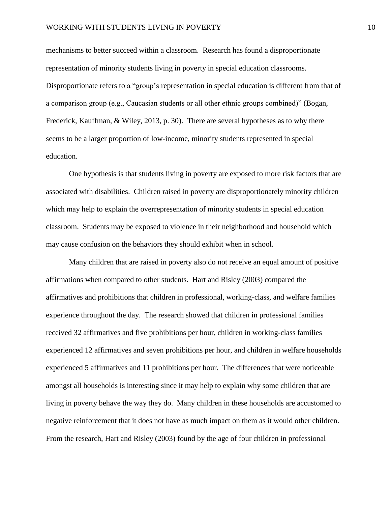mechanisms to better succeed within a classroom. Research has found a disproportionate representation of minority students living in poverty in special education classrooms. Disproportionate refers to a "group's representation in special education is different from that of a comparison group (e.g., Caucasian students or all other ethnic groups combined)" (Bogan, Frederick, Kauffman, & Wiley, 2013, p. 30). There are several hypotheses as to why there seems to be a larger proportion of low-income, minority students represented in special education.

One hypothesis is that students living in poverty are exposed to more risk factors that are associated with disabilities. Children raised in poverty are disproportionately minority children which may help to explain the overrepresentation of minority students in special education classroom. Students may be exposed to violence in their neighborhood and household which may cause confusion on the behaviors they should exhibit when in school.

Many children that are raised in poverty also do not receive an equal amount of positive affirmations when compared to other students. Hart and Risley (2003) compared the affirmatives and prohibitions that children in professional, working-class, and welfare families experience throughout the day. The research showed that children in professional families received 32 affirmatives and five prohibitions per hour, children in working-class families experienced 12 affirmatives and seven prohibitions per hour, and children in welfare households experienced 5 affirmatives and 11 prohibitions per hour. The differences that were noticeable amongst all households is interesting since it may help to explain why some children that are living in poverty behave the way they do. Many children in these households are accustomed to negative reinforcement that it does not have as much impact on them as it would other children. From the research, Hart and Risley (2003) found by the age of four children in professional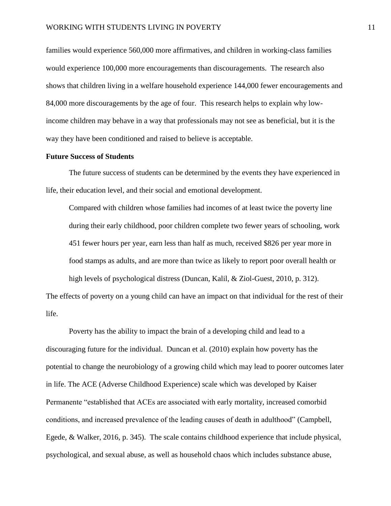families would experience 560,000 more affirmatives, and children in working-class families would experience 100,000 more encouragements than discouragements. The research also shows that children living in a welfare household experience 144,000 fewer encouragements and 84,000 more discouragements by the age of four. This research helps to explain why lowincome children may behave in a way that professionals may not see as beneficial, but it is the way they have been conditioned and raised to believe is acceptable.

#### **Future Success of Students**

The future success of students can be determined by the events they have experienced in life, their education level, and their social and emotional development.

Compared with children whose families had incomes of at least twice the poverty line during their early childhood, poor children complete two fewer years of schooling, work 451 fewer hours per year, earn less than half as much, received \$826 per year more in food stamps as adults, and are more than twice as likely to report poor overall health or high levels of psychological distress (Duncan, Kalil, & Ziol-Guest, 2010, p. 312).

The effects of poverty on a young child can have an impact on that individual for the rest of their life.

Poverty has the ability to impact the brain of a developing child and lead to a discouraging future for the individual. Duncan et al. (2010) explain how poverty has the potential to change the neurobiology of a growing child which may lead to poorer outcomes later in life. The ACE (Adverse Childhood Experience) scale which was developed by Kaiser Permanente "established that ACEs are associated with early mortality, increased comorbid conditions, and increased prevalence of the leading causes of death in adulthood" (Campbell, Egede, & Walker, 2016, p. 345). The scale contains childhood experience that include physical, psychological, and sexual abuse, as well as household chaos which includes substance abuse,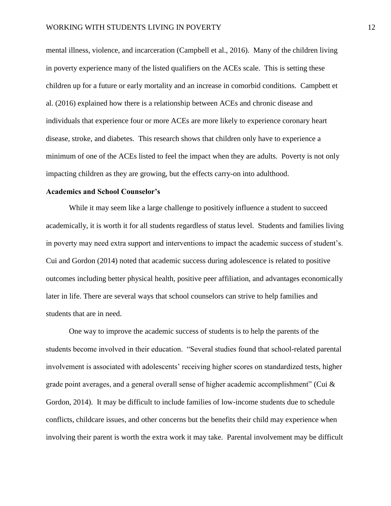mental illness, violence, and incarceration (Campbell et al., 2016). Many of the children living in poverty experience many of the listed qualifiers on the ACEs scale. This is setting these children up for a future or early mortality and an increase in comorbid conditions. Campbett et al. (2016) explained how there is a relationship between ACEs and chronic disease and individuals that experience four or more ACEs are more likely to experience coronary heart disease, stroke, and diabetes. This research shows that children only have to experience a minimum of one of the ACEs listed to feel the impact when they are adults. Poverty is not only impacting children as they are growing, but the effects carry-on into adulthood.

#### **Academics and School Counselor's**

While it may seem like a large challenge to positively influence a student to succeed academically, it is worth it for all students regardless of status level. Students and families living in poverty may need extra support and interventions to impact the academic success of student's. Cui and Gordon (2014) noted that academic success during adolescence is related to positive outcomes including better physical health, positive peer affiliation, and advantages economically later in life. There are several ways that school counselors can strive to help families and students that are in need.

One way to improve the academic success of students is to help the parents of the students become involved in their education. "Several studies found that school-related parental involvement is associated with adolescents' receiving higher scores on standardized tests, higher grade point averages, and a general overall sense of higher academic accomplishment" (Cui  $\&$ Gordon, 2014). It may be difficult to include families of low-income students due to schedule conflicts, childcare issues, and other concerns but the benefits their child may experience when involving their parent is worth the extra work it may take. Parental involvement may be difficult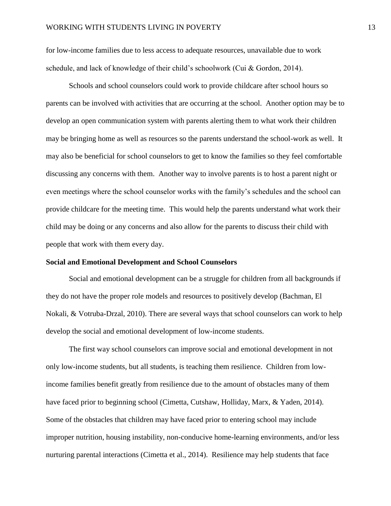for low-income families due to less access to adequate resources, unavailable due to work schedule, and lack of knowledge of their child's schoolwork (Cui & Gordon, 2014).

Schools and school counselors could work to provide childcare after school hours so parents can be involved with activities that are occurring at the school. Another option may be to develop an open communication system with parents alerting them to what work their children may be bringing home as well as resources so the parents understand the school-work as well. It may also be beneficial for school counselors to get to know the families so they feel comfortable discussing any concerns with them. Another way to involve parents is to host a parent night or even meetings where the school counselor works with the family's schedules and the school can provide childcare for the meeting time. This would help the parents understand what work their child may be doing or any concerns and also allow for the parents to discuss their child with people that work with them every day.

#### **Social and Emotional Development and School Counselors**

Social and emotional development can be a struggle for children from all backgrounds if they do not have the proper role models and resources to positively develop (Bachman, El Nokali, & Votruba-Drzal, 2010). There are several ways that school counselors can work to help develop the social and emotional development of low-income students.

The first way school counselors can improve social and emotional development in not only low-income students, but all students, is teaching them resilience. Children from lowincome families benefit greatly from resilience due to the amount of obstacles many of them have faced prior to beginning school (Cimetta, Cutshaw, Holliday, Marx, & Yaden, 2014). Some of the obstacles that children may have faced prior to entering school may include improper nutrition, housing instability, non-conducive home-learning environments, and/or less nurturing parental interactions (Cimetta et al., 2014). Resilience may help students that face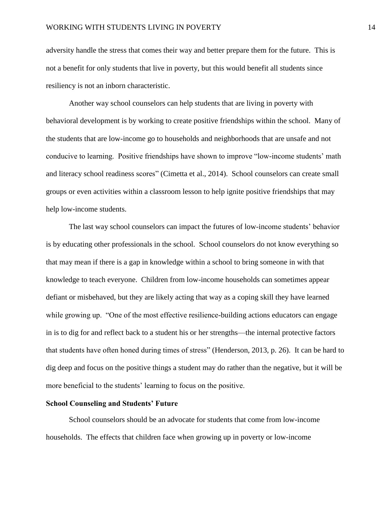adversity handle the stress that comes their way and better prepare them for the future. This is not a benefit for only students that live in poverty, but this would benefit all students since resiliency is not an inborn characteristic.

Another way school counselors can help students that are living in poverty with behavioral development is by working to create positive friendships within the school. Many of the students that are low-income go to households and neighborhoods that are unsafe and not conducive to learning. Positive friendships have shown to improve "low-income students' math and literacy school readiness scores" (Cimetta et al., 2014). School counselors can create small groups or even activities within a classroom lesson to help ignite positive friendships that may help low-income students.

The last way school counselors can impact the futures of low-income students' behavior is by educating other professionals in the school. School counselors do not know everything so that may mean if there is a gap in knowledge within a school to bring someone in with that knowledge to teach everyone. Children from low-income households can sometimes appear defiant or misbehaved, but they are likely acting that way as a coping skill they have learned while growing up. "One of the most effective resilience-building actions educators can engage in is to dig for and reflect back to a student his or her strengths—the internal protective factors that students have often honed during times of stress" (Henderson, 2013, p. 26). It can be hard to dig deep and focus on the positive things a student may do rather than the negative, but it will be more beneficial to the students' learning to focus on the positive.

#### **School Counseling and Students' Future**

School counselors should be an advocate for students that come from low-income households. The effects that children face when growing up in poverty or low-income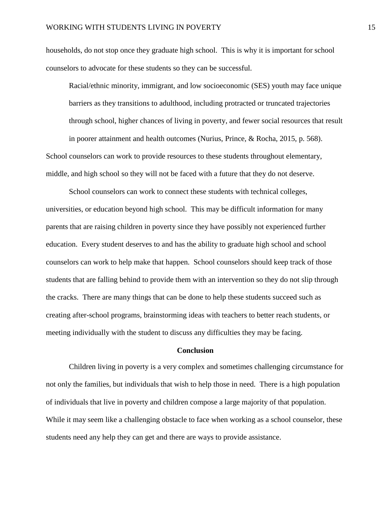households, do not stop once they graduate high school. This is why it is important for school counselors to advocate for these students so they can be successful.

Racial/ethnic minority, immigrant, and low socioeconomic (SES) youth may face unique barriers as they transitions to adulthood, including protracted or truncated trajectories through school, higher chances of living in poverty, and fewer social resources that result in poorer attainment and health outcomes (Nurius, Prince, & Rocha, 2015, p. 568).

School counselors can work to provide resources to these students throughout elementary, middle, and high school so they will not be faced with a future that they do not deserve.

School counselors can work to connect these students with technical colleges, universities, or education beyond high school. This may be difficult information for many parents that are raising children in poverty since they have possibly not experienced further education. Every student deserves to and has the ability to graduate high school and school counselors can work to help make that happen. School counselors should keep track of those students that are falling behind to provide them with an intervention so they do not slip through the cracks. There are many things that can be done to help these students succeed such as creating after-school programs, brainstorming ideas with teachers to better reach students, or meeting individually with the student to discuss any difficulties they may be facing.

#### **Conclusion**

Children living in poverty is a very complex and sometimes challenging circumstance for not only the families, but individuals that wish to help those in need. There is a high population of individuals that live in poverty and children compose a large majority of that population. While it may seem like a challenging obstacle to face when working as a school counselor, these students need any help they can get and there are ways to provide assistance.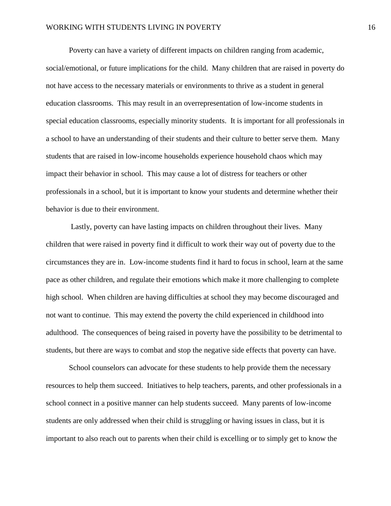Poverty can have a variety of different impacts on children ranging from academic, social/emotional, or future implications for the child. Many children that are raised in poverty do not have access to the necessary materials or environments to thrive as a student in general education classrooms. This may result in an overrepresentation of low-income students in special education classrooms, especially minority students. It is important for all professionals in a school to have an understanding of their students and their culture to better serve them. Many students that are raised in low-income households experience household chaos which may impact their behavior in school. This may cause a lot of distress for teachers or other professionals in a school, but it is important to know your students and determine whether their behavior is due to their environment.

Lastly, poverty can have lasting impacts on children throughout their lives. Many children that were raised in poverty find it difficult to work their way out of poverty due to the circumstances they are in. Low-income students find it hard to focus in school, learn at the same pace as other children, and regulate their emotions which make it more challenging to complete high school. When children are having difficulties at school they may become discouraged and not want to continue. This may extend the poverty the child experienced in childhood into adulthood. The consequences of being raised in poverty have the possibility to be detrimental to students, but there are ways to combat and stop the negative side effects that poverty can have.

School counselors can advocate for these students to help provide them the necessary resources to help them succeed. Initiatives to help teachers, parents, and other professionals in a school connect in a positive manner can help students succeed. Many parents of low-income students are only addressed when their child is struggling or having issues in class, but it is important to also reach out to parents when their child is excelling or to simply get to know the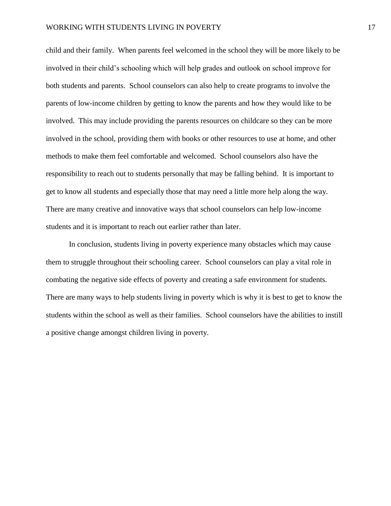child and their family. When parents feel welcomed in the school they will be more likely to be involved in their child's schooling which will help grades and outlook on school improve for both students and parents. School counselors can also help to create programs to involve the parents of low-income children by getting to know the parents and how they would like to be involved. This may include providing the parents resources on childcare so they can be more involved in the school, providing them with books or other resources to use at home, and other methods to make them feel comfortable and welcomed. School counselors also have the responsibility to reach out to students personally that may be falling behind. It is important to get to know all students and especially those that may need a little more help along the way. There are many creative and innovative ways that school counselors can help low-income students and it is important to reach out earlier rather than later.

In conclusion, students living in poverty experience many obstacles which may cause them to struggle throughout their schooling career. School counselors can play a vital role in combating the negative side effects of poverty and creating a safe environment for students. There are many ways to help students living in poverty which is why it is best to get to know the students within the school as well as their families. School counselors have the abilities to instill a positive change amongst children living in poverty.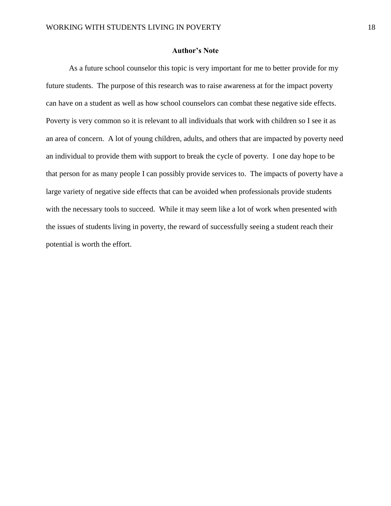#### **Author's Note**

As a future school counselor this topic is very important for me to better provide for my future students. The purpose of this research was to raise awareness at for the impact poverty can have on a student as well as how school counselors can combat these negative side effects. Poverty is very common so it is relevant to all individuals that work with children so I see it as an area of concern. A lot of young children, adults, and others that are impacted by poverty need an individual to provide them with support to break the cycle of poverty. I one day hope to be that person for as many people I can possibly provide services to. The impacts of poverty have a large variety of negative side effects that can be avoided when professionals provide students with the necessary tools to succeed. While it may seem like a lot of work when presented with the issues of students living in poverty, the reward of successfully seeing a student reach their potential is worth the effort.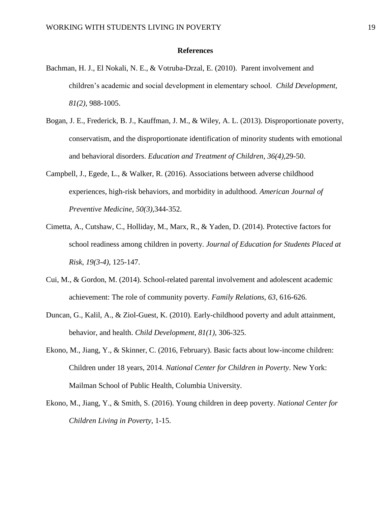#### **References**

- Bachman, H. J., El Nokali, N. E., & Votruba-Drzal, E. (2010). Parent involvement and children's academic and social development in elementary school. *Child Development, 81(2),* 988-1005.
- Bogan, J. E., Frederick, B. J., Kauffman, J. M., & Wiley, A. L. (2013). Disproportionate poverty, conservatism, and the disproportionate identification of minority students with emotional and behavioral disorders. *Education and Treatment of Children*, *36(4),*29-50.
- Campbell, J., Egede, L., & Walker, R. (2016). Associations between adverse childhood experiences, high-risk behaviors, and morbidity in adulthood. *American Journal of Preventive Medicine, 50(3),*344-352.
- Cimetta, A., Cutshaw, C., Holliday, M., Marx, R., & Yaden, D. (2014). Protective factors for school readiness among children in poverty. *Journal of Education for Students Placed at Risk*, *19(3-4),* 125-147.
- Cui, M., & Gordon, M. (2014). School-related parental involvement and adolescent academic achievement: The role of community poverty. *Family Relations*, *63,* 616-626.
- Duncan, G., Kalil, A., & Ziol-Guest, K. (2010). Early-childhood poverty and adult attainment, behavior, and health. *Child Development*, *81(1),* 306-325.
- Ekono, M., Jiang, Y., & Skinner, C. (2016, February). Basic facts about low-income children: Children under 18 years, 2014. *National Center for Children in Poverty*. New York: Mailman School of Public Health, Columbia University.
- Ekono, M., Jiang, Y., & Smith, S. (2016). Young children in deep poverty. *National Center for Children Living in Poverty*, 1-15.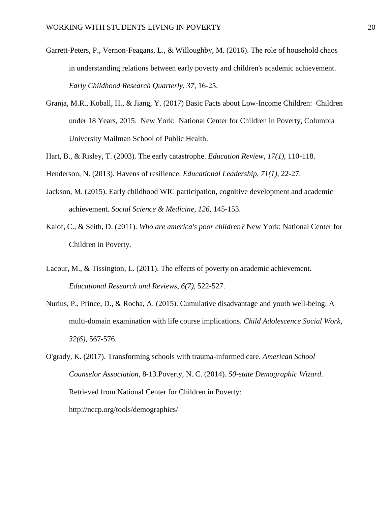- Garrett-Peters, P., Vernon-Feagans, L., & Willoughby, M. (2016). The role of household chaos in understanding relations between early poverty and children's academic achievement. *Early Childhood Research Quarterly*, *37,* 16-25.
- Granja, M.R., Koball, H., & Jiang, Y. (2017) Basic Facts about Low-Income Children: Children under 18 Years, 2015. New York: National Center for Children in Poverty, Columbia University Mailman School of Public Health.
- Hart, B., & Risley, T. (2003). The early catastrophe. *Education Review, 17(1)*, 110-118.
- Henderson, N. (2013). Havens of resilience. *Educational Leadership*, *71(1),* 22-27.
- Jackson, M. (2015). Early childhood WIC participation, cognitive development and academic achievement. *Social Science & Medicine*, *126,* 145-153.
- Kalof, C., & Seith, D. (2011). *Who are america's poor children?* New York: National Center for Children in Poverty.
- Lacour, M., & Tissington, L. (2011). The effects of poverty on academic achievement. *Educational Research and Reviews*, *6(7),* 522-527.
- Nurius, P., Prince, D., & Rocha, A. (2015). Cumulative disadvantage and youth well-being: A multi-domain examination with life course implications. *Child Adolescence Social Work*, *32(6),* 567-576.

O'grady, K. (2017). Transforming schools with trauma-informed care. *American School Counselor Association*, 8-13.Poverty, N. C. (2014). *50-state Demographic Wizard*. Retrieved from National Center for Children in Poverty: http://nccp.org/tools/demographics/